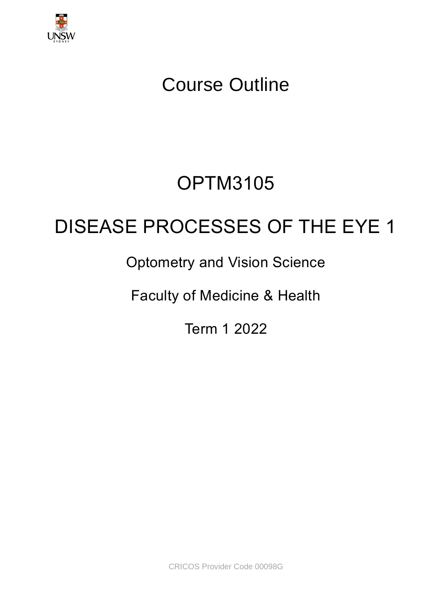

# Course Outline

# OPTM3105

# DISEASE PROCESSES OF THE EYE 1

# Optometry and Vision Science

Faculty of Medicine & Health

Term 1 2022

CRICOS Provider Code 00098G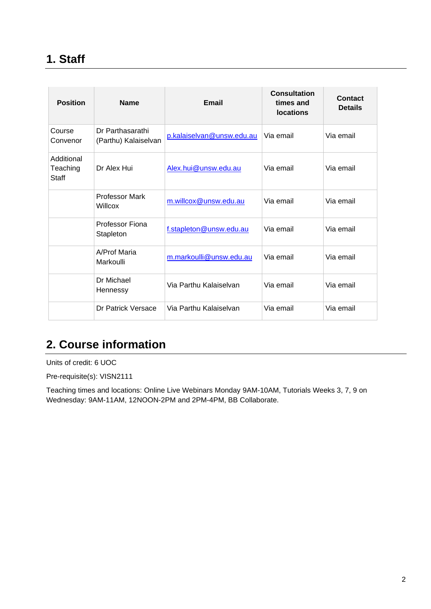# **1. Staff**

| <b>Position</b>                        | <b>Name</b>                              | Email                     | Consultation<br>times and<br><b>locations</b> | Contact<br><b>Details</b> |
|----------------------------------------|------------------------------------------|---------------------------|-----------------------------------------------|---------------------------|
| Course<br>Convenor                     | Dr Parthasarathi<br>(Parthu) Kalaiselvan | p.kalaiselvan@unsw.edu.au | Via email                                     | Via email                 |
| Additional<br>Teaching<br><b>Staff</b> | Dr Alex Hui                              | Alex.hui@unsw.edu.au      | Via email                                     | Via email                 |
|                                        | <b>Professor Mark</b><br>Willcox         | m.willcox@unsw.edu.au     | Via email                                     | Via email                 |
|                                        | Professor Fiona<br>Stapleton             | f.stapleton@unsw.edu.au   | Via email                                     | Via email                 |
|                                        | A/Prof Maria<br>Markoulli                | m.markoulli@unsw.edu.au   | Via email                                     | Via email                 |
|                                        | Dr Michael<br>Hennessy                   | Via Parthu Kalaiselvan    | Via email                                     | Via email                 |
|                                        | Dr Patrick Versace                       | Via Parthu Kalaiselvan    | Via email                                     | Via email                 |

# **2. Course information**

Units of credit: 6 UOC

Pre-requisite(s): VISN2111

Teaching times and locations: Online Live Webinars Monday 9AM-10AM, Tutorials Weeks 3, 7, 9 on Wednesday: 9AM-11AM, 12NOON-2PM and 2PM-4PM, BB Collaborate.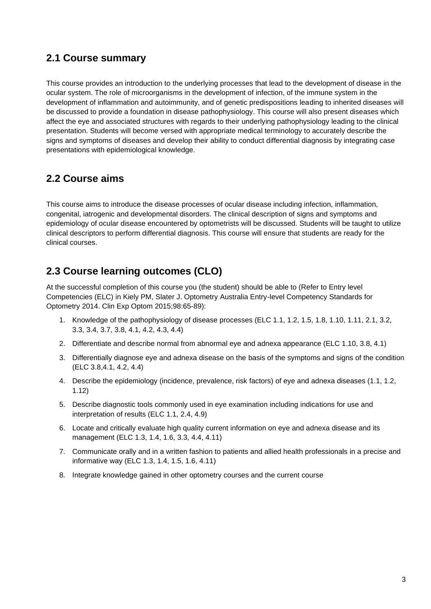#### **2.1 Course summary**

This course provides an introduction to the underlying processes that lead to the development of disease in the ocular system. The role of microorganisms in the development of infection, of the immune system in the development of inflammation and autoimmunity, and of genetic predispositions leading to inherited diseases will be discussed to provide a foundation in disease pathophysiology. This course will also present diseases which affect the eye and associated structures with regards to their underlying pathophysiology leading to the clinical presentation. Students will become versed with appropriate medical terminology to accurately describe the signs and symptoms of diseases and develop their ability to conduct differential diagnosis by integrating case presentations with epidemiological knowledge.

#### **2.2 Course aims**

This course aims to introduce the disease processes of ocular disease including infection, inflammation, congenital, iatrogenic and developmental disorders. The clinical description of signs and symptoms and epidemiology of ocular disease encountered by optometrists will be discussed. Students will be taught to utilize clinical descriptors to perform differential diagnosis. This course will ensure that students are ready for the clinical courses.

### **2.3 Course learning outcomes (CLO)**

At the successful completion of this course you (the student) should be able to (Refer to Entry level Competencies (ELC) in Kiely PM, Slater J. Optometry Australia Entry-level Competency Standards for Optometry 2014. Clin Exp Optom 2015;98:65-89):

- 1. Knowledge of the pathophysiology of disease processes (ELC 1.1, 1.2, 1.5, 1.8, 1.10, 1.11, 2.1, 3.2, 3.3, 3.4, 3.7, 3.8, 4.1, 4.2, 4.3, 4.4)
- 2. Differentiate and describe normal from abnormal eye and adnexa appearance (ELC 1.10, 3.8, 4.1)
- 3. Differentially diagnose eye and adnexa disease on the basis of the symptoms and signs of the condition (ELC 3.8,4.1, 4.2, 4.4)
- 4. Describe the epidemiology (incidence, prevalence, risk factors) of eye and adnexa diseases (1.1, 1.2, 1.12)
- 5. Describe diagnostic tools commonly used in eye examination including indications for use and interpretation of results (ELC 1.1, 2.4, 4.9)
- 6. Locate and critically evaluate high quality current information on eye and adnexa disease and its management (ELC 1.3, 1.4, 1.6, 3.3, 4.4, 4.11)
- 7. Communicate orally and in a written fashion to patients and allied health professionals in a precise and informative way (ELC 1.3, 1.4, 1.5, 1.6, 4.11)
- 8. Integrate knowledge gained in other optometry courses and the current course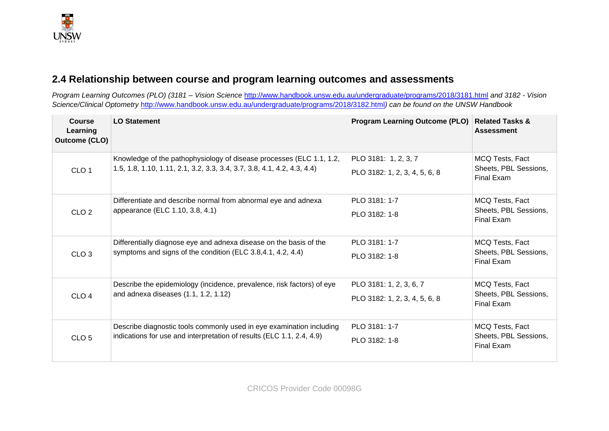### **2.4 Relationship between course and program learning outcomes and assessments**

*Program Learning Outcomes (PLO) (3181 – Vision Science* <http://www.handbook.unsw.edu.au/undergraduate/programs/2018/3181.html> *and 3182 - Vision Science/Clinical Optometry* <http://www.handbook.unsw.edu.au/undergraduate/programs/2018/3182.html>*) can be found on the UNSW Handbook*

| <b>Course</b><br>Learning<br><b>Outcome (CLO)</b>                                         | <b>LO Statement</b>                                                                                                                             | <b>Program Learning Outcome (PLO)</b>                 | <b>Related Tasks &amp;</b><br><b>Assessment</b> |
|-------------------------------------------------------------------------------------------|-------------------------------------------------------------------------------------------------------------------------------------------------|-------------------------------------------------------|-------------------------------------------------|
| CLO <sub>1</sub>                                                                          | Knowledge of the pathophysiology of disease processes (ELC 1.1, 1.2,<br>1.5, 1.8, 1.10, 1.11, 2.1, 3.2, 3.3, 3.4, 3.7, 3.8, 4.1, 4.2, 4.3, 4.4) | PLO 3181: 1, 2, 3, 7<br>PLO 3182: 1, 2, 3, 4, 5, 6, 8 | MCQ Tests, Fact<br>Sheets, PBL Sessions,        |
|                                                                                           |                                                                                                                                                 |                                                       | Final Exam                                      |
|                                                                                           | Differentiate and describe normal from abnormal eye and adnexa                                                                                  | PLO 3181: 1-7                                         | MCQ Tests, Fact                                 |
| CLO <sub>2</sub>                                                                          | appearance (ELC 1.10, 3.8, 4.1)                                                                                                                 | PLO 3182: 1-8                                         | Sheets, PBL Sessions,<br>Final Exam             |
| symptoms and signs of the condition (ELC 3.8,4.1, 4.2, 4.4)<br>CLO <sub>3</sub>           | Differentially diagnose eye and adnexa disease on the basis of the                                                                              | PLO 3181: 1-7                                         | MCQ Tests, Fact                                 |
|                                                                                           |                                                                                                                                                 | PLO 3182: 1-8                                         | Sheets, PBL Sessions,<br>Final Exam             |
|                                                                                           | Describe the epidemiology (incidence, prevalence, risk factors) of eye                                                                          | PLO 3181: 1, 2, 3, 6, 7                               | MCQ Tests, Fact                                 |
| CLO <sub>4</sub>                                                                          | and adnexa diseases (1.1, 1.2, 1.12)                                                                                                            | PLO 3182: 1, 2, 3, 4, 5, 6, 8                         | Sheets, PBL Sessions,<br>Final Exam             |
|                                                                                           | Describe diagnostic tools commonly used in eye examination including                                                                            | PLO 3181: 1-7                                         | MCQ Tests, Fact                                 |
| indications for use and interpretation of results (ELC 1.1, 2.4, 4.9)<br>CLO <sub>5</sub> |                                                                                                                                                 | PLO 3182: 1-8                                         | Sheets, PBL Sessions,<br><b>Final Exam</b>      |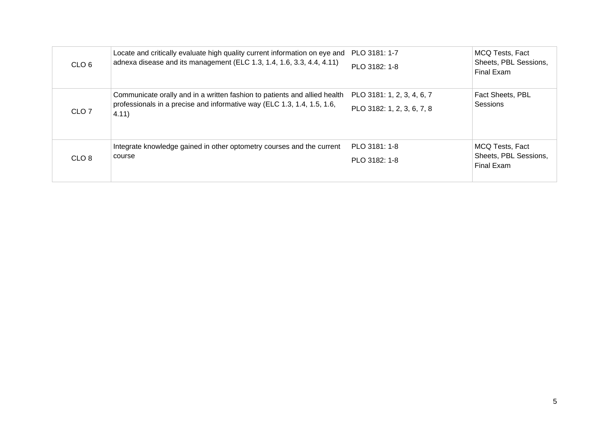| CLO <sub>6</sub> | Locate and critically evaluate high quality current information on eye and<br>adnexa disease and its management (ELC 1.3, 1.4, 1.6, 3.3, 4.4, 4.11)           | PLO 3181: 1-7<br>PLO 3182: 1-8                           | MCQ Tests, Fact<br>Sheets, PBL Sessions,<br><b>Final Exam</b> |
|------------------|---------------------------------------------------------------------------------------------------------------------------------------------------------------|----------------------------------------------------------|---------------------------------------------------------------|
| CLO <sub>7</sub> | Communicate orally and in a written fashion to patients and allied health<br>professionals in a precise and informative way (ELC 1.3, 1.4, 1.5, 1.6,<br>4.11) | PLO 3181: 1, 2, 3, 4, 6, 7<br>PLO 3182: 1, 2, 3, 6, 7, 8 | Fact Sheets, PBL<br>Sessions                                  |
| CLO <sub>8</sub> | Integrate knowledge gained in other optometry courses and the current<br>course                                                                               | PLO 3181: 1-8<br>PLO 3182: 1-8                           | MCQ Tests, Fact<br>Sheets, PBL Sessions,<br>Final Exam        |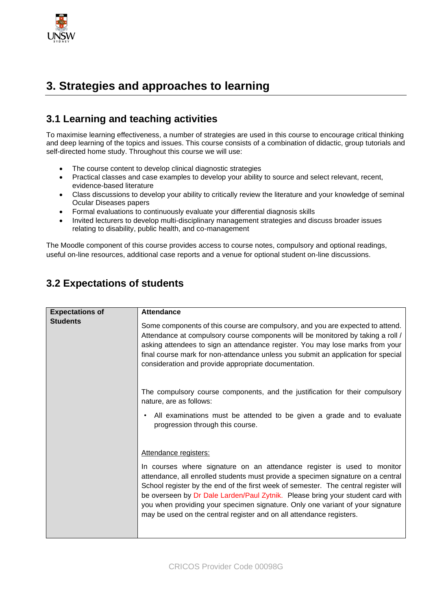

# **3. Strategies and approaches to learning**

#### **3.1 Learning and teaching activities**

To maximise learning effectiveness, a number of strategies are used in this course to encourage critical thinking and deep learning of the topics and issues. This course consists of a combination of didactic, group tutorials and self-directed home study. Throughout this course we will use:

- The course content to develop clinical diagnostic strategies
- Practical classes and case examples to develop your ability to source and select relevant, recent, evidence-based literature
- Class discussions to develop your ability to critically review the literature and your knowledge of seminal Ocular Diseases papers
- Formal evaluations to continuously evaluate your differential diagnosis skills
- Invited lecturers to develop multi-disciplinary management strategies and discuss broader issues relating to disability, public health, and co-management

The Moodle component of this course provides access to course notes, compulsory and optional readings, useful on-line resources, additional case reports and a venue for optional student on-line discussions.

| <b>Expectations of</b> | <b>Attendance</b>                                                                                                                                                                                                                                                                                                                                                                                                                                                                              |
|------------------------|------------------------------------------------------------------------------------------------------------------------------------------------------------------------------------------------------------------------------------------------------------------------------------------------------------------------------------------------------------------------------------------------------------------------------------------------------------------------------------------------|
| <b>Students</b>        | Some components of this course are compulsory, and you are expected to attend.<br>Attendance at compulsory course components will be monitored by taking a roll /<br>asking attendees to sign an attendance register. You may lose marks from your<br>final course mark for non-attendance unless you submit an application for special<br>consideration and provide appropriate documentation.                                                                                                |
|                        | The compulsory course components, and the justification for their compulsory<br>nature, are as follows:                                                                                                                                                                                                                                                                                                                                                                                        |
|                        | All examinations must be attended to be given a grade and to evaluate<br>progression through this course.                                                                                                                                                                                                                                                                                                                                                                                      |
|                        | Attendance registers:                                                                                                                                                                                                                                                                                                                                                                                                                                                                          |
|                        | In courses where signature on an attendance register is used to monitor<br>attendance, all enrolled students must provide a specimen signature on a central<br>School register by the end of the first week of semester. The central register will<br>be overseen by Dr Dale Larden/Paul Zytnik. Please bring your student card with<br>you when providing your specimen signature. Only one variant of your signature<br>may be used on the central register and on all attendance registers. |

### **3.2 Expectations of students**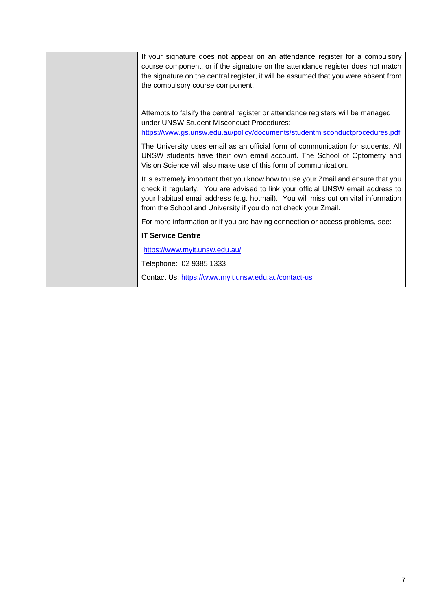| If your signature does not appear on an attendance register for a compulsory<br>course component, or if the signature on the attendance register does not match<br>the signature on the central register, it will be assumed that you were absent from<br>the compulsory course component.                                   |
|------------------------------------------------------------------------------------------------------------------------------------------------------------------------------------------------------------------------------------------------------------------------------------------------------------------------------|
| Attempts to falsify the central register or attendance registers will be managed<br>under UNSW Student Misconduct Procedures:<br>https://www.gs.unsw.edu.au/policy/documents/studentmisconductprocedures.pdf                                                                                                                 |
| The University uses email as an official form of communication for students. All<br>UNSW students have their own email account. The School of Optometry and<br>Vision Science will also make use of this form of communication.                                                                                              |
| It is extremely important that you know how to use your Zmail and ensure that you<br>check it regularly. You are advised to link your official UNSW email address to<br>your habitual email address (e.g. hotmail). You will miss out on vital information<br>from the School and University if you do not check your Zmail. |
| For more information or if you are having connection or access problems, see:                                                                                                                                                                                                                                                |
| <b>IT Service Centre</b>                                                                                                                                                                                                                                                                                                     |
| https://www.myit.unsw.edu.au/                                                                                                                                                                                                                                                                                                |
| Telephone: 02 9385 1333                                                                                                                                                                                                                                                                                                      |
| Contact Us: https://www.myit.unsw.edu.au/contact-us                                                                                                                                                                                                                                                                          |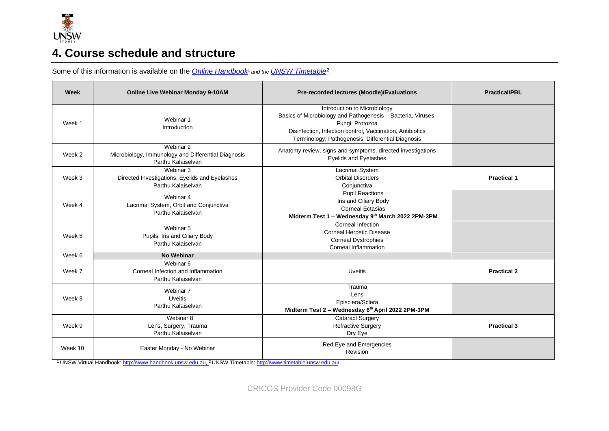

## **4. Course schedule and structure**

Some of this information is available on the **Online Handbook**<sup>1</sup> and the **UNSW Timetable**<sup>2</sup>.

| Week    | <b>Online Live Webinar Monday 9-10AM</b>                                               | Pre-recorded lectures (Moodle)/Evaluations                                                                                                                                                                                        | <b>Practical/PBL</b> |
|---------|----------------------------------------------------------------------------------------|-----------------------------------------------------------------------------------------------------------------------------------------------------------------------------------------------------------------------------------|----------------------|
| Week 1  | Webinar 1<br>Introduction                                                              | Introduction to Microbiology<br>Basics of Microbiology and Pathogenesis - Bacteria, Viruses,<br>Fungi, Protozoa<br>Disinfection, Infection control, Vaccination, Antibiotics<br>Terminology, Pathogenesis, Differential Diagnosis |                      |
| Week 2  | Webinar 2<br>Microbiology, Immunology and Differential Diagnosis<br>Parthu Kalaiselvan | Anatomy review, signs and symptoms, directed investigations<br><b>Eyelids and Eyelashes</b>                                                                                                                                       |                      |
| Week 3  | Webinar 3<br>Directed Investigations, Eyelids and Eyelashes<br>Parthu Kalaiselvan      | Lacrimal System<br><b>Orbital Disorders</b><br>Conjunctiva                                                                                                                                                                        | <b>Practical 1</b>   |
| Week 4  | Webinar 4<br>Lacrimal System, Orbit and Conjunctiva<br>Parthu Kalaiselvan              | <b>Pupil Reactions</b><br>Iris and Ciliary Body<br><b>Corneal Ectasias</b><br>Midterm Test 1 - Wednesday 9th March 2022 2PM-3PM                                                                                                   |                      |
| Week 5  | Webinar 5<br>Pupils, Iris and Ciliary Body<br>Parthu Kalaiselvan                       | Corneal Infection<br><b>Corneal Herpetic Disease</b><br><b>Corneal Dystrophies</b><br>Corneal Inflammation                                                                                                                        |                      |
| Week 6  | <b>No Webinar</b>                                                                      |                                                                                                                                                                                                                                   |                      |
| Week 7  | Webinar 6<br>Corneal Infection and Inflammation<br>Parthu Kalaiselvan                  | <b>Uveitis</b>                                                                                                                                                                                                                    | <b>Practical 2</b>   |
| Week 8  | Webinar 7<br><b>Uveitis</b><br>Parthu Kalaiselvan                                      | Trauma<br>Lens<br>Episclera/Sclera<br>Midterm Test 2 - Wednesday 6th April 2022 2PM-3PM                                                                                                                                           |                      |
| Week 9  | Webinar 8<br>Lens, Surgery, Trauma<br>Parthu Kalaiselvan                               | <b>Cataract Surgery</b><br><b>Refractive Surgery</b><br>Dry Eye                                                                                                                                                                   | <b>Practical 3</b>   |
| Week 10 | Easter Monday - No Webinar                                                             | Red Eye and Emergencies<br>Revision                                                                                                                                                                                               |                      |

<sup>1</sup> UNSW Virtual Handbook[: http://www.handbook.unsw.edu.au,](http://www.handbook.unsw.edu.au/) <sup>2</sup> UNSW Timetable:<http://www.timetable.unsw.edu.au/>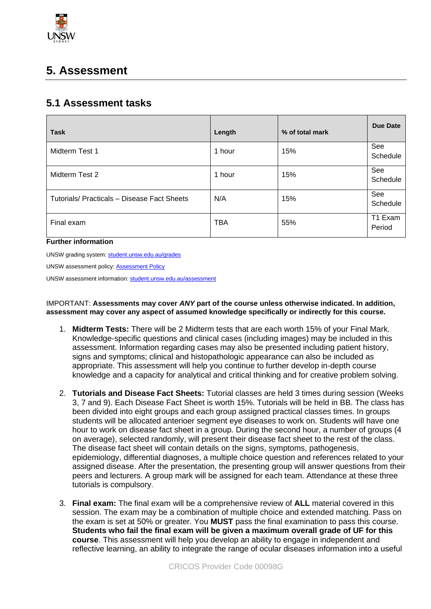

# **5. Assessment**

#### **5.1 Assessment tasks**

| <b>Task</b>                                 | Length     | % of total mark | Due Date          |
|---------------------------------------------|------------|-----------------|-------------------|
| Midterm Test 1                              | 1 hour     | 15%             | See<br>Schedule   |
| Midterm Test 2                              | 1 hour     | 15%             | See<br>Schedule   |
| Tutorials/ Practicals - Disease Fact Sheets | N/A        | 15%             | See<br>Schedule   |
| Final exam                                  | <b>TBA</b> | 55%             | T1 Exam<br>Period |

#### **Further information**

UNSW grading system[: student.unsw.edu.au/grades](https://student.unsw.edu.au/grades)

UNSW assessment policy[: Assessment Policy](https://www.gs.unsw.edu.au/policy/documents/assessmentpolicy.pdf)

UNSW assessment information[: student.unsw.edu.au/assessment](https://student.unsw.edu.au/assessment)

IMPORTANT: **Assessments may cover** *ANY* **part of the course unless otherwise indicated. In addition, assessment may cover any aspect of assumed knowledge specifically or indirectly for this course.**

- 1. **Midterm Tests:** There will be 2 Midterm tests that are each worth 15% of your Final Mark. Knowledge-specific questions and clinical cases (including images) may be included in this assessment. Information regarding cases may also be presented including patient history, signs and symptoms; clinical and histopathologic appearance can also be included as appropriate. This assessment will help you continue to further develop in-depth course knowledge and a capacity for analytical and critical thinking and for creative problem solving.
- 2. **Tutorials and Disease Fact Sheets:** Tutorial classes are held 3 times during session (Weeks 3, 7 and 9). Each Disease Fact Sheet is worth 15%. Tutorials will be held in BB. The class has been divided into eight groups and each group assigned practical classes times. In groups students will be allocated anterioer segment eye diseases to work on. Students will have one hour to work on disease fact sheet in a group. During the second hour, a number of groups (4 on average), selected randomly, will present their disease fact sheet to the rest of the class. The disease fact sheet will contain details on the signs, symptoms, pathogenesis, epidemiology, differential diagnoses, a multiple choice question and references related to your assigned disease. After the presentation, the presenting group will answer questions from their peers and lecturers. A group mark will be assigned for each team. Attendance at these three tutorials is compulsory.
- 3. **Final exam:** The final exam will be a comprehensive review of **ALL** material covered in this session. The exam may be a combination of multiple choice and extended matching. Pass on the exam is set at 50% or greater. You **MUST** pass the final examination to pass this course. **Students who fail the final exam will be given a maximum overall grade of UF for this course**. This assessment will help you develop an ability to engage in independent and reflective learning, an ability to integrate the range of ocular diseases information into a useful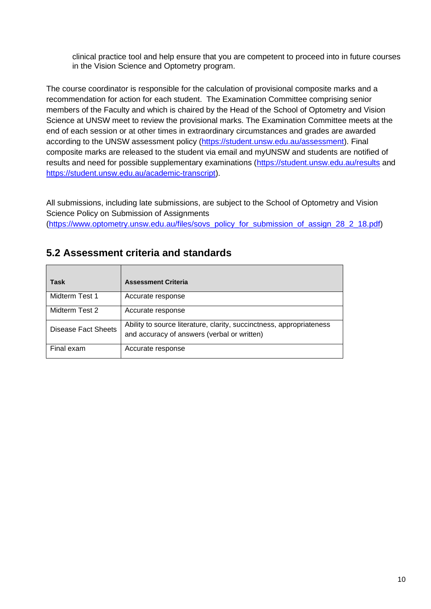clinical practice tool and help ensure that you are competent to proceed into in future courses in the Vision Science and Optometry program.

The course coordinator is responsible for the calculation of provisional composite marks and a recommendation for action for each student. The Examination Committee comprising senior members of the Faculty and which is chaired by the Head of the School of Optometry and Vision Science at UNSW meet to review the provisional marks. The Examination Committee meets at the end of each session or at other times in extraordinary circumstances and grades are awarded according to the UNSW assessment policy [\(https://student.unsw.edu.au/assessment\)](https://student.unsw.edu.au/assessment). Final composite marks are released to the student via email and myUNSW and students are notified of results and need for possible supplementary examinations [\(https://student.unsw.edu.au/results](https://student.unsw.edu.au/results) and [https://student.unsw.edu.au/academic-transcript\)](https://student.unsw.edu.au/academic-transcript).

All submissions, including late submissions, are subject to the School of Optometry and Vision Science Policy on Submission of Assignments

[\(https://www.optometry.unsw.edu.au/files/sovs\\_policy\\_for\\_submission\\_of\\_assign\\_28\\_2\\_18.pdf\)](https://www.optometry.unsw.edu.au/files/sovs_policy_for_submission_of_assign_28_2_18.pdf)

| <b>Task</b>                | <b>Assessment Criteria</b>                                                                                          |
|----------------------------|---------------------------------------------------------------------------------------------------------------------|
| Midterm Test 1             | Accurate response                                                                                                   |
| Midterm Test 2             | Accurate response                                                                                                   |
| <b>Disease Fact Sheets</b> | Ability to source literature, clarity, succinctness, appropriateness<br>and accuracy of answers (verbal or written) |
| Final exam                 | Accurate response                                                                                                   |

#### **5.2 Assessment criteria and standards**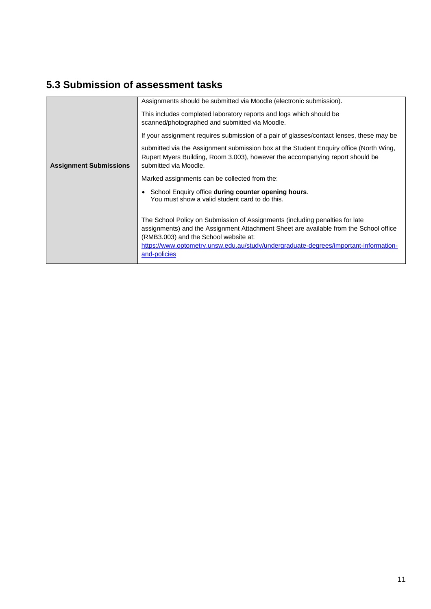# **5.3 Submission of assessment tasks**

|                               | Assignments should be submitted via Moodle (electronic submission).                                                                                                                                                                                                                                                    |  |
|-------------------------------|------------------------------------------------------------------------------------------------------------------------------------------------------------------------------------------------------------------------------------------------------------------------------------------------------------------------|--|
|                               | This includes completed laboratory reports and logs which should be<br>scanned/photographed and submitted via Moodle.                                                                                                                                                                                                  |  |
|                               | If your assignment requires submission of a pair of glasses/contact lenses, these may be                                                                                                                                                                                                                               |  |
| <b>Assignment Submissions</b> | submitted via the Assignment submission box at the Student Enguiry office (North Wing,<br>Rupert Myers Building, Room 3.003), however the accompanying report should be<br>submitted via Moodle.                                                                                                                       |  |
|                               | Marked assignments can be collected from the:                                                                                                                                                                                                                                                                          |  |
|                               | School Enquiry office during counter opening hours.<br>$\bullet$<br>You must show a valid student card to do this.                                                                                                                                                                                                     |  |
|                               | The School Policy on Submission of Assignments (including penalties for late<br>assignments) and the Assignment Attachment Sheet are available from the School office<br>(RMB3.003) and the School website at:<br>https://www.optometry.unsw.edu.au/study/undergraduate-degrees/important-information-<br>and-policies |  |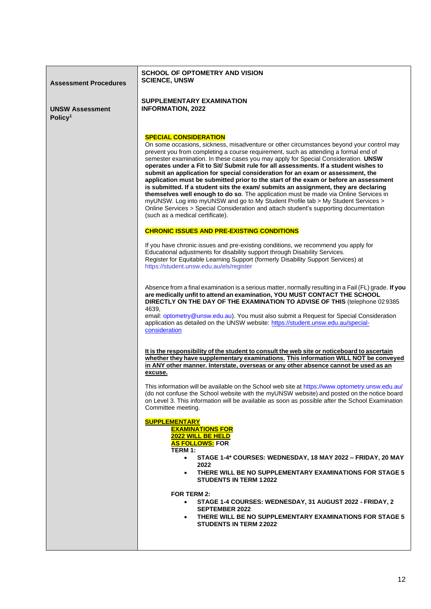| <b>Assessment Procedures</b>                  | <b>SCHOOL OF OPTOMETRY AND VISION</b><br><b>SCIENCE, UNSW</b>                                                                                                                                                                                                                                                                                                                                                                                                                                                                                                                                                                                                                                                                                                                                                                                                                                                                                                           |
|-----------------------------------------------|-------------------------------------------------------------------------------------------------------------------------------------------------------------------------------------------------------------------------------------------------------------------------------------------------------------------------------------------------------------------------------------------------------------------------------------------------------------------------------------------------------------------------------------------------------------------------------------------------------------------------------------------------------------------------------------------------------------------------------------------------------------------------------------------------------------------------------------------------------------------------------------------------------------------------------------------------------------------------|
| <b>UNSW Assessment</b><br>Policy <sup>1</sup> | <b>SUPPLEMENTARY EXAMINATION</b><br><b>INFORMATION, 2022</b>                                                                                                                                                                                                                                                                                                                                                                                                                                                                                                                                                                                                                                                                                                                                                                                                                                                                                                            |
|                                               | <b>SPECIAL CONSIDERATION</b><br>On some occasions, sickness, misadventure or other circumstances beyond your control may<br>prevent you from completing a course requirement, such as attending a formal end of<br>semester examination. In these cases you may apply for Special Consideration. UNSW<br>operates under a Fit to Sit/ Submit rule for all assessments. If a student wishes to<br>submit an application for special consideration for an exam or assessment, the<br>application must be submitted prior to the start of the exam or before an assessment<br>is submitted. If a student sits the exam/ submits an assignment, they are declaring<br>themselves well enough to do so. The application must be made via Online Services in<br>myUNSW. Log into myUNSW and go to My Student Profile tab > My Student Services ><br>Online Services > Special Consideration and attach student's supporting documentation<br>(such as a medical certificate). |
|                                               | <b>CHRONIC ISSUES AND PRE-EXISTING CONDITIONS</b>                                                                                                                                                                                                                                                                                                                                                                                                                                                                                                                                                                                                                                                                                                                                                                                                                                                                                                                       |
|                                               | If you have chronic issues and pre-existing conditions, we recommend you apply for<br>Educational adjustments for disability support through Disability Services.<br>Register for Equitable Learning Support (formerly Disability Support Services) at<br>https://student.unsw.edu.au/els/register                                                                                                                                                                                                                                                                                                                                                                                                                                                                                                                                                                                                                                                                      |
|                                               | Absence from a final examination is a serious matter, normally resulting in a Fail (FL) grade. If you<br>are medically unfit to attend an examination, YOU MUST CONTACT THE SCHOOL<br>DIRECTLY ON THE DAY OF THE EXAMINATION TO ADVISE OF THIS (telephone 029385<br>4639.<br>email: optometry@unsw.edu.au). You must also submit a Request for Special Consideration<br>application as detailed on the UNSW website: https://student.unsw.edu.au/special-<br>consideration                                                                                                                                                                                                                                                                                                                                                                                                                                                                                              |
|                                               | It is the responsibility of the student to consult the web site or noticeboard to ascertain<br>whether they have supplementary examinations. This information WILL NOT be conveyed<br>in ANY other manner. Interstate, overseas or any other absence cannot be used as an<br>excuse.                                                                                                                                                                                                                                                                                                                                                                                                                                                                                                                                                                                                                                                                                    |
|                                               | This information will be available on the School web site at https://www.optometry.unsw.edu.au/<br>(do not confuse the School website with the myUNSW website) and posted on the notice board<br>on Level 3. This information will be available as soon as possible after the School Examination<br>Committee meeting.                                                                                                                                                                                                                                                                                                                                                                                                                                                                                                                                                                                                                                                  |
|                                               | <b>SUPPLEMENTARY</b><br><b>EXAMINATIONS FOR</b><br>2022 WILL BE HELD<br><b>AS FOLLOWS:</b> FOR<br>TERM 1:<br>STAGE 1-4* COURSES: WEDNESDAY, 18 MAY 2022 - FRIDAY, 20 MAY<br>$\bullet$<br>2022<br>THERE WILL BE NO SUPPLEMENTARY EXAMINATIONS FOR STAGE 5                                                                                                                                                                                                                                                                                                                                                                                                                                                                                                                                                                                                                                                                                                                |
|                                               | <b>STUDENTS IN TERM 1 2022</b>                                                                                                                                                                                                                                                                                                                                                                                                                                                                                                                                                                                                                                                                                                                                                                                                                                                                                                                                          |
|                                               | <b>FOR TERM 2:</b><br>STAGE 1-4 COURSES: WEDNESDAY, 31 AUGUST 2022 - FRIDAY, 2<br>$\bullet$<br><b>SEPTEMBER 2022</b><br>THERE WILL BE NO SUPPLEMENTARY EXAMINATIONS FOR STAGE 5<br>٠<br><b>STUDENTS IN TERM 22022</b>                                                                                                                                                                                                                                                                                                                                                                                                                                                                                                                                                                                                                                                                                                                                                   |
|                                               |                                                                                                                                                                                                                                                                                                                                                                                                                                                                                                                                                                                                                                                                                                                                                                                                                                                                                                                                                                         |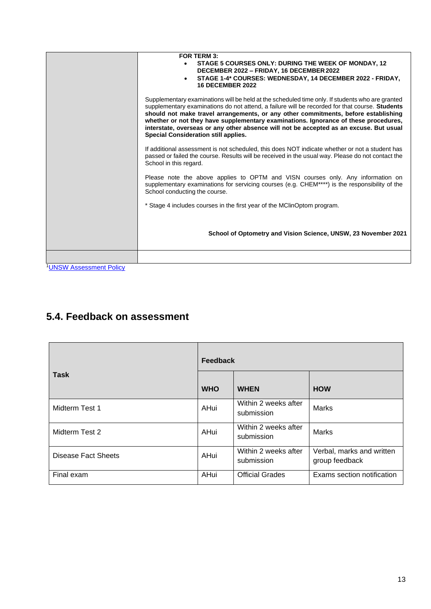|                                | FOR TERM 3:<br>STAGE 5 COURSES ONLY: DURING THE WEEK OF MONDAY, 12<br>$\bullet$<br>DECEMBER 2022 - FRIDAY, 16 DECEMBER 2022<br>STAGE 1-4* COURSES: WEDNESDAY, 14 DECEMBER 2022 - FRIDAY,<br>$\bullet$<br><b>16 DECEMBER 2022</b>                                                                                                                                                                                                                                                                                 |
|--------------------------------|------------------------------------------------------------------------------------------------------------------------------------------------------------------------------------------------------------------------------------------------------------------------------------------------------------------------------------------------------------------------------------------------------------------------------------------------------------------------------------------------------------------|
|                                | Supplementary examinations will be held at the scheduled time only. If students who are granted<br>supplementary examinations do not attend, a failure will be recorded for that course. Students<br>should not make travel arrangements, or any other commitments, before establishing<br>whether or not they have supplementary examinations. Ignorance of these procedures,<br>interstate, overseas or any other absence will not be accepted as an excuse. But usual<br>Special Consideration still applies. |
|                                | If additional assessment is not scheduled, this does NOT indicate whether or not a student has<br>passed or failed the course. Results will be received in the usual way. Please do not contact the<br>School in this regard.                                                                                                                                                                                                                                                                                    |
|                                | Please note the above applies to OPTM and VISN courses only. Any information on<br>supplementary examinations for servicing courses (e.g. CHEM****) is the responsibility of the<br>School conducting the course.                                                                                                                                                                                                                                                                                                |
|                                | * Stage 4 includes courses in the first year of the MClinOptom program.                                                                                                                                                                                                                                                                                                                                                                                                                                          |
|                                | School of Optometry and Vision Science, UNSW, 23 November 2021                                                                                                                                                                                                                                                                                                                                                                                                                                                   |
|                                |                                                                                                                                                                                                                                                                                                                                                                                                                                                                                                                  |
| <b>1UNSW Assessment Policy</b> |                                                                                                                                                                                                                                                                                                                                                                                                                                                                                                                  |

## **5.4. Feedback on assessment**

|                            | <b>Feedback</b> |                                    |                                             |
|----------------------------|-----------------|------------------------------------|---------------------------------------------|
| <b>Task</b>                | <b>WHO</b>      | <b>WHEN</b>                        | <b>HOW</b>                                  |
| Midterm Test 1             | AHui            | Within 2 weeks after<br>submission | Marks                                       |
| Midterm Test 2             | <b>AHui</b>     | Within 2 weeks after<br>submission | Marks                                       |
| <b>Disease Fact Sheets</b> | AHui            | Within 2 weeks after<br>submission | Verbal, marks and written<br>group feedback |
| Final exam                 | AHui            | <b>Official Grades</b>             | Exams section notification                  |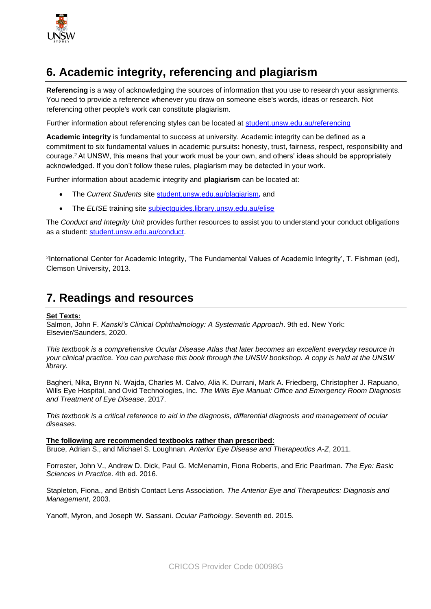

# **6. Academic integrity, referencing and plagiarism**

**Referencing** is a way of acknowledging the sources of information that you use to research your assignments. You need to provide a reference whenever you draw on someone else's words, ideas or research. Not referencing other people's work can constitute plagiarism.

Further information about referencing styles can be located at [student.unsw.edu.au/referencing](https://student.unsw.edu.au/referencing)

**Academic integrity** is fundamental to success at university. Academic integrity can be defined as a commitment to six fundamental values in academic pursuits**:** honesty, trust, fairness, respect, responsibility and courage.<sup>2</sup> At UNSW, this means that your work must be your own, and others' ideas should be appropriately acknowledged. If you don't follow these rules, plagiarism may be detected in your work.

Further information about academic integrity and **plagiarism** can be located at:

- The *Current Students* site [student.unsw.edu.au/plagiarism](https://student.unsw.edu.au/plagiarism)*,* and
- The *ELISE* training site **[subjectguides.library.unsw.edu.au/elise](http://subjectguides.library.unsw.edu.au/elise)**

The *Conduct and Integrity Unit* provides further resources to assist you to understand your conduct obligations as a student: [student.unsw.edu.au/conduct.](https://student.unsw.edu.au/conduct)

2 International Center for Academic Integrity, 'The Fundamental Values of Academic Integrity', T. Fishman (ed), Clemson University, 2013.

#### **7. Readings and resources**

#### **Set Texts:**

Salmon, John F. *Kanski's Clinical Ophthalmology: A Systematic Approach*. 9th ed. New York: Elsevier/Saunders, 2020.

*This textbook is a comprehensive Ocular Disease Atlas that later becomes an excellent everyday resource in your clinical practice. You can purchase this book through the UNSW bookshop. A copy is held at the UNSW library.* 

Bagheri, Nika, Brynn N. Wajda, Charles M. Calvo, Alia K. Durrani, Mark A. Friedberg, Christopher J. Rapuano, Wills Eye Hospital, and Ovid Technologies, Inc. *The Wills Eye Manual: Office and Emergency Room Diagnosis and Treatment of Eye Disease*, 2017.

*This textbook is a critical reference to aid in the diagnosis, differential diagnosis and management of ocular diseases.*

**The following are recommended textbooks rather than prescribed**:

Bruce, Adrian S., and Michael S. Loughnan. *Anterior Eye Disease and Therapeutics A-Z*, 2011.

Forrester, John V., Andrew D. Dick, Paul G. McMenamin, Fiona Roberts, and Eric Pearlman. *The Eye: Basic Sciences in Practice*. 4th ed. 2016.

Stapleton, Fiona., and British Contact Lens Association. *The Anterior Eye and Therapeutics: Diagnosis and Management*, 2003.

Yanoff, Myron, and Joseph W. Sassani. *Ocular Pathology*. Seventh ed. 2015.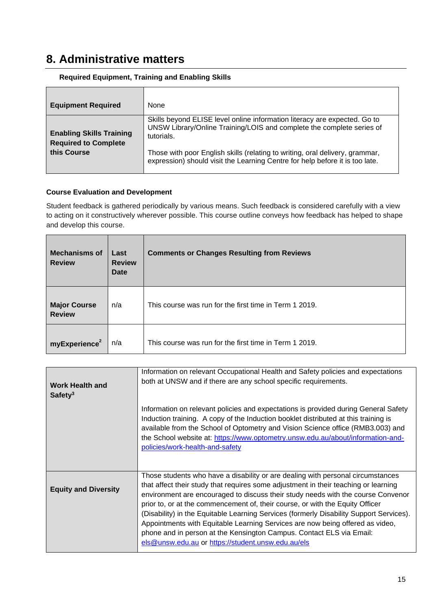### **8. Administrative matters**

| <b>Equipment Required</b>                                      | None                                                                                                                                                             |
|----------------------------------------------------------------|------------------------------------------------------------------------------------------------------------------------------------------------------------------|
| <b>Enabling Skills Training</b><br><b>Required to Complete</b> | Skills beyond ELISE level online information literacy are expected. Go to<br>UNSW Library/Online Training/LOIS and complete the complete series of<br>tutorials. |
| this Course                                                    | Those with poor English skills (relating to writing, oral delivery, grammar,<br>expression) should visit the Learning Centre for help before it is too late.     |

#### **Required Equipment, Training and Enabling Skills**

#### **Course Evaluation and Development**

Student feedback is gathered periodically by various means. Such feedback is considered carefully with a view to acting on it constructively wherever possible. This course outline conveys how feedback has helped to shape and develop this course.

| <b>Mechanisms of</b><br><b>Review</b> | Last<br><b>Review</b><br>Date | <b>Comments or Changes Resulting from Reviews</b>      |
|---------------------------------------|-------------------------------|--------------------------------------------------------|
| <b>Major Course</b><br><b>Review</b>  | n/a                           | This course was run for the first time in Term 1 2019. |
| myExperience <sup>2</sup>             | n/a                           | This course was run for the first time in Term 1 2019. |

| <b>Work Health and</b><br>Safety <sup>3</sup> | Information on relevant Occupational Health and Safety policies and expectations<br>both at UNSW and if there are any school specific requirements.                                                                                                                                                                                                                                                                                                                                                                                                                                                                                                   |  |  |
|-----------------------------------------------|-------------------------------------------------------------------------------------------------------------------------------------------------------------------------------------------------------------------------------------------------------------------------------------------------------------------------------------------------------------------------------------------------------------------------------------------------------------------------------------------------------------------------------------------------------------------------------------------------------------------------------------------------------|--|--|
|                                               | Information on relevant policies and expectations is provided during General Safety<br>Induction training. A copy of the Induction booklet distributed at this training is<br>available from the School of Optometry and Vision Science office (RMB3.003) and<br>the School website at: https://www.optometry.unsw.edu.au/about/information-and-<br>policies/work-health-and-safety                                                                                                                                                                                                                                                                   |  |  |
| <b>Equity and Diversity</b>                   | Those students who have a disability or are dealing with personal circumstances<br>that affect their study that requires some adjustment in their teaching or learning<br>environment are encouraged to discuss their study needs with the course Convenor<br>prior to, or at the commencement of, their course, or with the Equity Officer<br>(Disability) in the Equitable Learning Services (formerly Disability Support Services).<br>Appointments with Equitable Learning Services are now being offered as video,<br>phone and in person at the Kensington Campus. Contact ELS via Email:<br>els@unsw.edu.au or https://student.unsw.edu.au/els |  |  |